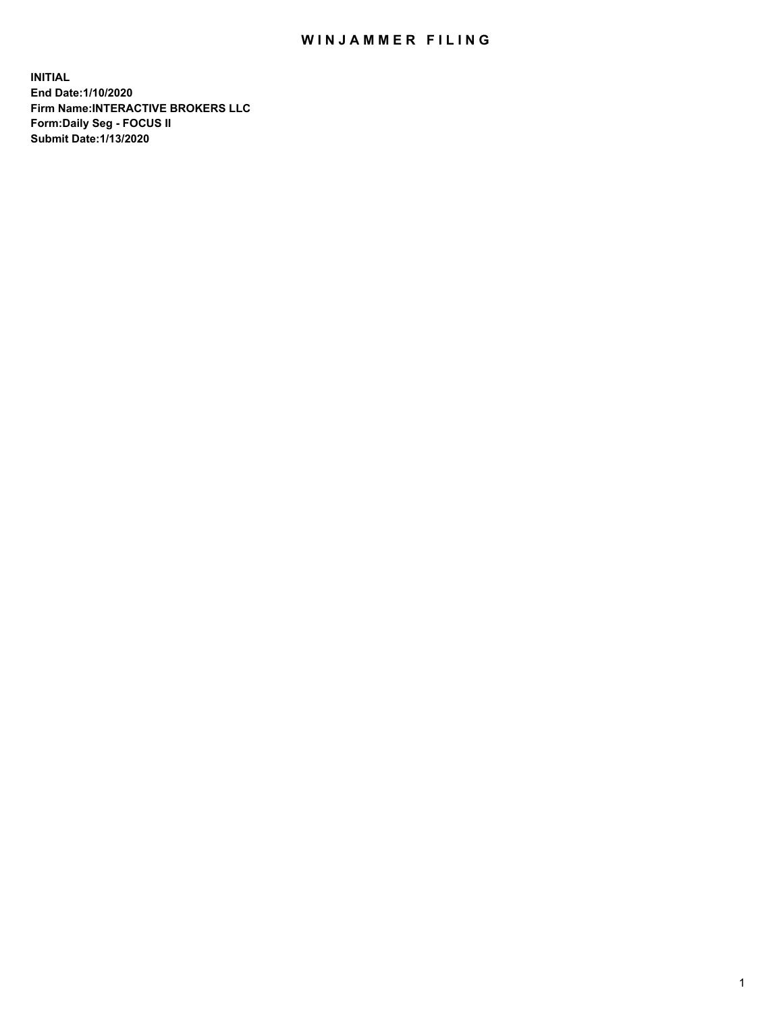## WIN JAMMER FILING

**INITIAL End Date:1/10/2020 Firm Name:INTERACTIVE BROKERS LLC Form:Daily Seg - FOCUS II Submit Date:1/13/2020**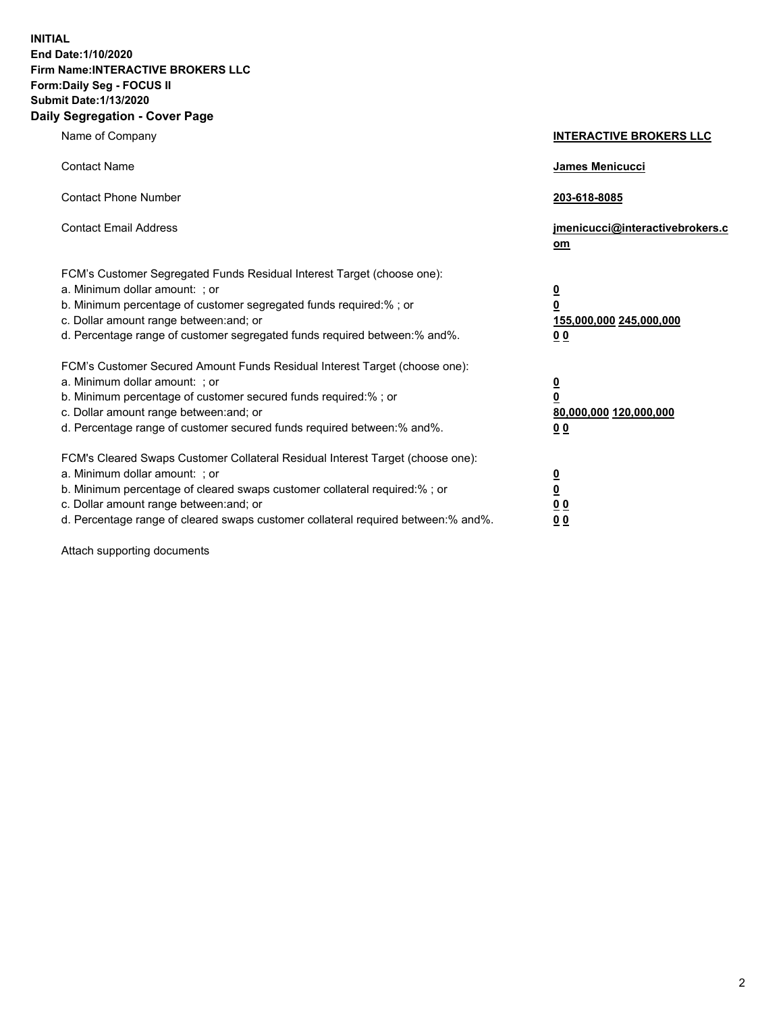**INITIAL End Date:1/10/2020 Firm Name:INTERACTIVE BROKERS LLC Form:Daily Seg - FOCUS II Submit Date:1/13/2020 Daily Segregation - Cover Page**

| Name of Company                                                                                                                                                                                                                                                                                                                 | <b>INTERACTIVE BROKERS LLC</b>                                                   |
|---------------------------------------------------------------------------------------------------------------------------------------------------------------------------------------------------------------------------------------------------------------------------------------------------------------------------------|----------------------------------------------------------------------------------|
| <b>Contact Name</b>                                                                                                                                                                                                                                                                                                             | <b>James Menicucci</b>                                                           |
| <b>Contact Phone Number</b>                                                                                                                                                                                                                                                                                                     | 203-618-8085                                                                     |
| <b>Contact Email Address</b>                                                                                                                                                                                                                                                                                                    | jmenicucci@interactivebrokers.c<br>om                                            |
| FCM's Customer Segregated Funds Residual Interest Target (choose one):<br>a. Minimum dollar amount: ; or<br>b. Minimum percentage of customer segregated funds required:% ; or<br>c. Dollar amount range between: and; or<br>d. Percentage range of customer segregated funds required between:% and%.                          | <u>0</u><br>$\overline{\mathbf{0}}$<br>155,000,000 245,000,000<br>0 <sub>0</sub> |
| FCM's Customer Secured Amount Funds Residual Interest Target (choose one):<br>a. Minimum dollar amount: ; or<br>b. Minimum percentage of customer secured funds required:%; or<br>c. Dollar amount range between: and; or<br>d. Percentage range of customer secured funds required between:% and%.                             | <u>0</u><br>$\overline{\mathbf{0}}$<br>80,000,000 120,000,000<br>0 <sub>0</sub>  |
| FCM's Cleared Swaps Customer Collateral Residual Interest Target (choose one):<br>a. Minimum dollar amount: ; or<br>b. Minimum percentage of cleared swaps customer collateral required:%; or<br>c. Dollar amount range between: and; or<br>d. Percentage range of cleared swaps customer collateral required between: % and %. | <u>0</u><br>$\underline{\mathbf{0}}$<br>0 <sub>0</sub><br>0 <sub>0</sub>         |

Attach supporting documents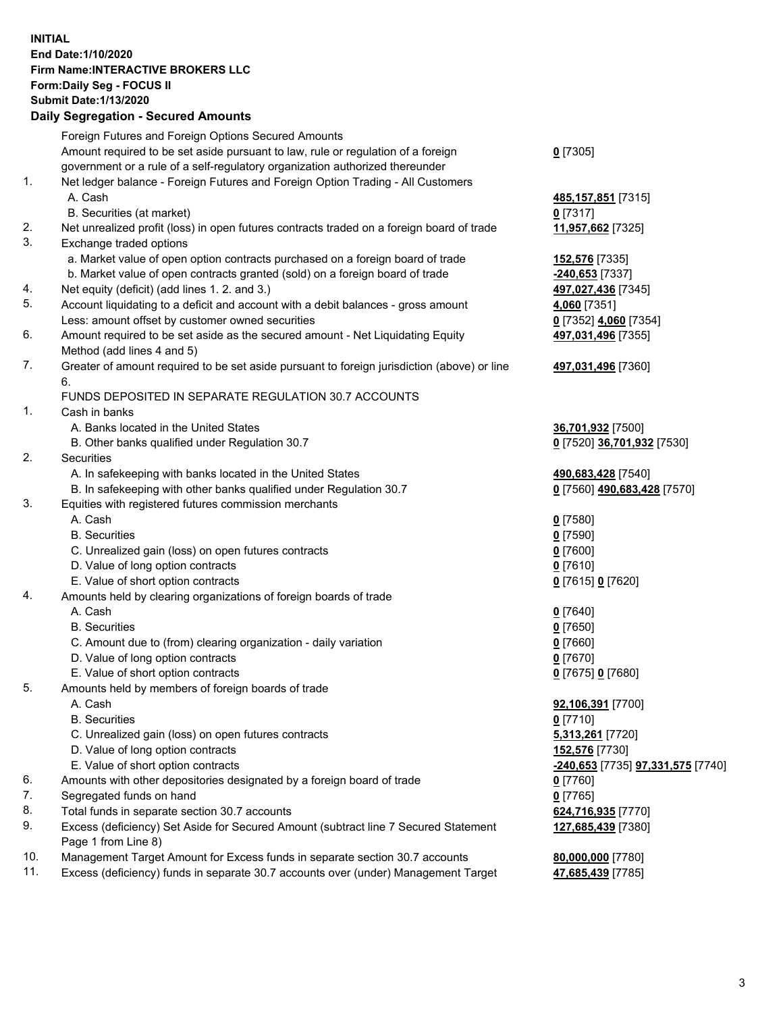**INITIAL End Date:1/10/2020 Firm Name:INTERACTIVE BROKERS LLC Form:Daily Seg - FOCUS II Submit Date:1/13/2020 Daily Segregation - Secured Amounts**

|     | 2011, Ocglegation - Oceaned Anioanto                                                                                                                              |                                                 |
|-----|-------------------------------------------------------------------------------------------------------------------------------------------------------------------|-------------------------------------------------|
|     | Foreign Futures and Foreign Options Secured Amounts                                                                                                               |                                                 |
|     | Amount required to be set aside pursuant to law, rule or regulation of a foreign                                                                                  | $0$ [7305]                                      |
|     | government or a rule of a self-regulatory organization authorized thereunder                                                                                      |                                                 |
| 1.  | Net ledger balance - Foreign Futures and Foreign Option Trading - All Customers                                                                                   |                                                 |
|     | A. Cash                                                                                                                                                           | 485, 157, 851 [7315]                            |
|     | B. Securities (at market)                                                                                                                                         | $0$ [7317]                                      |
| 2.  | Net unrealized profit (loss) in open futures contracts traded on a foreign board of trade                                                                         | 11,957,662 [7325]                               |
| 3.  | Exchange traded options                                                                                                                                           |                                                 |
|     | a. Market value of open option contracts purchased on a foreign board of trade                                                                                    | 152,576 [7335]                                  |
|     | b. Market value of open contracts granted (sold) on a foreign board of trade                                                                                      | -240,653 [7337]                                 |
| 4.  | Net equity (deficit) (add lines 1. 2. and 3.)                                                                                                                     | 497,027,436 [7345]                              |
| 5.  | Account liquidating to a deficit and account with a debit balances - gross amount                                                                                 | 4,060 [7351]                                    |
|     | Less: amount offset by customer owned securities                                                                                                                  | 0 [7352] 4,060 [7354]                           |
| 6.  | Amount required to be set aside as the secured amount - Net Liquidating Equity                                                                                    | 497,031,496 [7355]                              |
|     | Method (add lines 4 and 5)                                                                                                                                        |                                                 |
| 7.  | Greater of amount required to be set aside pursuant to foreign jurisdiction (above) or line                                                                       | 497,031,496 [7360]                              |
|     | 6.                                                                                                                                                                |                                                 |
|     | FUNDS DEPOSITED IN SEPARATE REGULATION 30.7 ACCOUNTS                                                                                                              |                                                 |
| 1.  | Cash in banks                                                                                                                                                     |                                                 |
|     | A. Banks located in the United States                                                                                                                             | 36,701,932 [7500]                               |
|     | B. Other banks qualified under Regulation 30.7                                                                                                                    | 0 [7520] 36,701,932 [7530]                      |
| 2.  | Securities                                                                                                                                                        |                                                 |
|     | A. In safekeeping with banks located in the United States                                                                                                         | 490,683,428 [7540]                              |
|     | B. In safekeeping with other banks qualified under Regulation 30.7                                                                                                | 0 [7560] 490,683,428 [7570]                     |
| 3.  | Equities with registered futures commission merchants                                                                                                             |                                                 |
|     | A. Cash                                                                                                                                                           | $0$ [7580]                                      |
|     | <b>B.</b> Securities                                                                                                                                              | $0$ [7590]                                      |
|     | C. Unrealized gain (loss) on open futures contracts                                                                                                               | $0$ [7600]                                      |
|     | D. Value of long option contracts                                                                                                                                 | $0$ [7610]                                      |
|     | E. Value of short option contracts                                                                                                                                | 0 [7615] 0 [7620]                               |
| 4.  | Amounts held by clearing organizations of foreign boards of trade                                                                                                 |                                                 |
|     | A. Cash                                                                                                                                                           | $0$ [7640]                                      |
|     | <b>B.</b> Securities                                                                                                                                              | $0$ [7650]                                      |
|     | C. Amount due to (from) clearing organization - daily variation                                                                                                   | $0$ [7660]                                      |
|     | D. Value of long option contracts                                                                                                                                 | $0$ [7670]                                      |
|     | E. Value of short option contracts                                                                                                                                | 0 [7675] 0 [7680]                               |
| 5.  | Amounts held by members of foreign boards of trade                                                                                                                |                                                 |
|     | A. Cash                                                                                                                                                           | 92,106,391 [7700]                               |
|     | <b>B.</b> Securities                                                                                                                                              | $0$ [7710]                                      |
|     | C. Unrealized gain (loss) on open futures contracts                                                                                                               | 5,313,261 [7720]                                |
|     | D. Value of long option contracts                                                                                                                                 | 152,576 [7730]                                  |
|     | E. Value of short option contracts                                                                                                                                | <u>-240,653</u> [7735] <b>97,331,575</b> [7740] |
| 6.  | Amounts with other depositories designated by a foreign board of trade                                                                                            | 0 [7760]                                        |
| 7.  | Segregated funds on hand                                                                                                                                          | $0$ [7765]                                      |
| 8.  | Total funds in separate section 30.7 accounts                                                                                                                     | 624,716,935 [7770]                              |
| 9.  | Excess (deficiency) Set Aside for Secured Amount (subtract line 7 Secured Statement                                                                               | 127,685,439 [7380]                              |
| 10. | Page 1 from Line 8)                                                                                                                                               |                                                 |
| 11. | Management Target Amount for Excess funds in separate section 30.7 accounts<br>Excess (deficiency) funds in separate 30.7 accounts over (under) Management Target | 80,000,000 [7780]                               |
|     |                                                                                                                                                                   | 47,685,439 [7785]                               |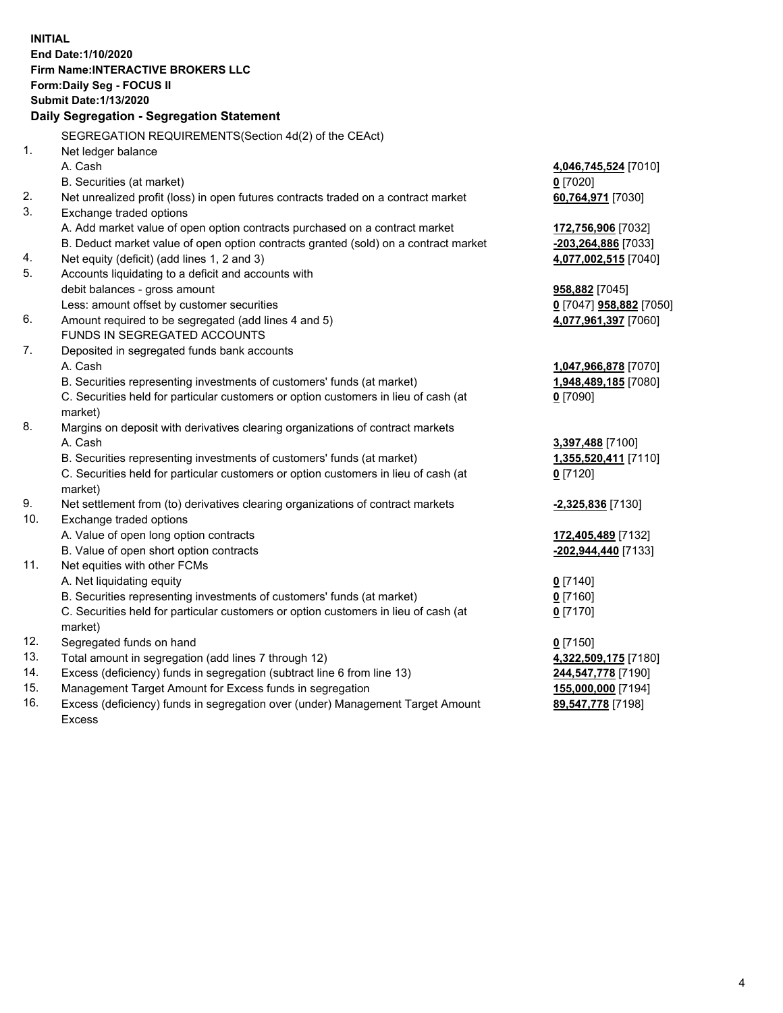**INITIAL End Date:1/10/2020 Firm Name:INTERACTIVE BROKERS LLC Form:Daily Seg - FOCUS II Submit Date:1/13/2020 Daily Segregation - Segregation Statement** SEGREGATION REQUIREMENTS(Section 4d(2) of the CEAct) 1. Net ledger balance A. Cash **4,046,745,524** [7010] B. Securities (at market) **0** [7020] 2. Net unrealized profit (loss) in open futures contracts traded on a contract market **60,764,971** [7030] 3. Exchange traded options A. Add market value of open option contracts purchased on a contract market **172,756,906** [7032] B. Deduct market value of open option contracts granted (sold) on a contract market **-203,264,886** [7033] 4. Net equity (deficit) (add lines 1, 2 and 3) **4,077,002,515** [7040] 5. Accounts liquidating to a deficit and accounts with debit balances - gross amount **958,882** [7045] Less: amount offset by customer securities **0** [7047] **958,882** [7050] 6. Amount required to be segregated (add lines 4 and 5) **4,077,961,397** [7060] FUNDS IN SEGREGATED ACCOUNTS 7. Deposited in segregated funds bank accounts A. Cash **1,047,966,878** [7070] B. Securities representing investments of customers' funds (at market) **1,948,489,185** [7080] C. Securities held for particular customers or option customers in lieu of cash (at market) **0** [7090] 8. Margins on deposit with derivatives clearing organizations of contract markets A. Cash **3,397,488** [7100] B. Securities representing investments of customers' funds (at market) **1,355,520,411** [7110] C. Securities held for particular customers or option customers in lieu of cash (at market) **0** [7120] 9. Net settlement from (to) derivatives clearing organizations of contract markets **-2,325,836** [7130] 10. Exchange traded options A. Value of open long option contracts **172,405,489** [7132] B. Value of open short option contracts **-202,944,440** [7133] 11. Net equities with other FCMs A. Net liquidating equity **0** [7140] B. Securities representing investments of customers' funds (at market) **0** [7160] C. Securities held for particular customers or option customers in lieu of cash (at market) **0** [7170] 12. Segregated funds on hand **0** [7150] 13. Total amount in segregation (add lines 7 through 12) **4,322,509,175** [7180] 14. Excess (deficiency) funds in segregation (subtract line 6 from line 13) **244,547,778** [7190] 15. Management Target Amount for Excess funds in segregation **155,000,000** [7194] **89,547,778** [7198]

16. Excess (deficiency) funds in segregation over (under) Management Target Amount Excess